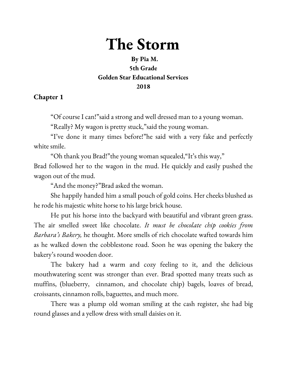## **The Storm**

## **By Pia M. 5th Grade Golden Star Educational Services 2018**

## **Chapter 1**

"Of course I can!"said a strong and well dressed man to a young woman.

"Really? My wagon is pretty stuck,"said the young woman.

"I've done it many times before!"he said with a very fake and perfectly white smile.

"Oh thank you Brad!"the young woman squealed,"It's this way,"

Brad followed her to the wagon in the mud. He quickly and easily pushed the wagon out of the mud.

"And the money?"Brad asked the woman.

She happily handed him a small pouch of gold coins. Her cheeks blushed as he rode his majestic white horse to his large brick house.

He put his horse into the backyard with beautiful and vibrant green grass. The air smelled sweet like chocolate. *It must be chocolate chip cookies from Barbara's Bakery,* he thought. More smells of rich chocolate wafted towards him as he walked down the cobblestone road. Soon he was opening the bakery the bakery's round wooden door.

The bakery had a warm and cozy feeling to it, and the delicious mouthwatering scent was stronger than ever. Brad spotted many treats such as muffins, (blueberry, cinnamon, and chocolate chip) bagels, loaves of bread, croissants, cinnamon rolls, baguettes, and much more.

There was a plump old woman smiling at the cash register, she had big round glasses and a yellow dress with small daisies on it.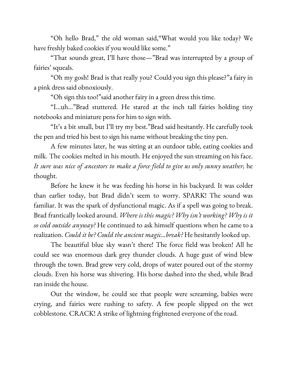"Oh hello Brad," the old woman said,"What would you like today? We have freshly baked cookies if you would like some."

"That sounds great, I'll have those—"Brad was interrupted by a group of fairies' squeals.

"Oh my gosh! Brad is that really you? Could you sign this please?"a fairy in a pink dress said obnoxiously.

"Oh sign this too!"said another fairy in a green dress this time.

"I...uh…"Brad stuttered. He stared at the inch tall fairies holding tiny notebooks and miniature pens for him to sign with.

"It's a bit small, but I'll try my best."Brad said hesitantly. He carefully took the pen and tried his best to sign his name without breaking the tiny pen.

A few minutes later, he was sitting at an outdoor table, eating cookies and milk. The cookies melted in his mouth. He enjoyed the sun streaming on his face. *It sure was nice of ancestors to make a force field to give us only sunny weather,* he thought.

Before he knew it he was feeding his horse in his backyard. It was colder than earlier today, but Brad didn't seem to worry. SPARK! The sound was familiar. It was the spark of dysfunctional magic. As if a spell was going to break. Brad frantically looked around. *Where is this magic? Why isn't working? Why is it so cold outside anyway?* He continued to ask himself questions when he came to a realization. *Could it be? Could the ancient magic...break?* He hesitantly looked up.

The beautiful blue sky wasn't there! The force field was broken! All he could see was enormous dark grey thunder clouds. A huge gust of wind blew through the town. Brad grew very cold, drops of water poured out of the stormy clouds. Even his horse was shivering. His horse dashed into the shed, while Brad ran inside the house.

Out the window, he could see that people were screaming, babies were crying, and fairies were rushing to safety. A few people slipped on the wet cobblestone. CRACK! A strike of lightning frightened everyone of the road.